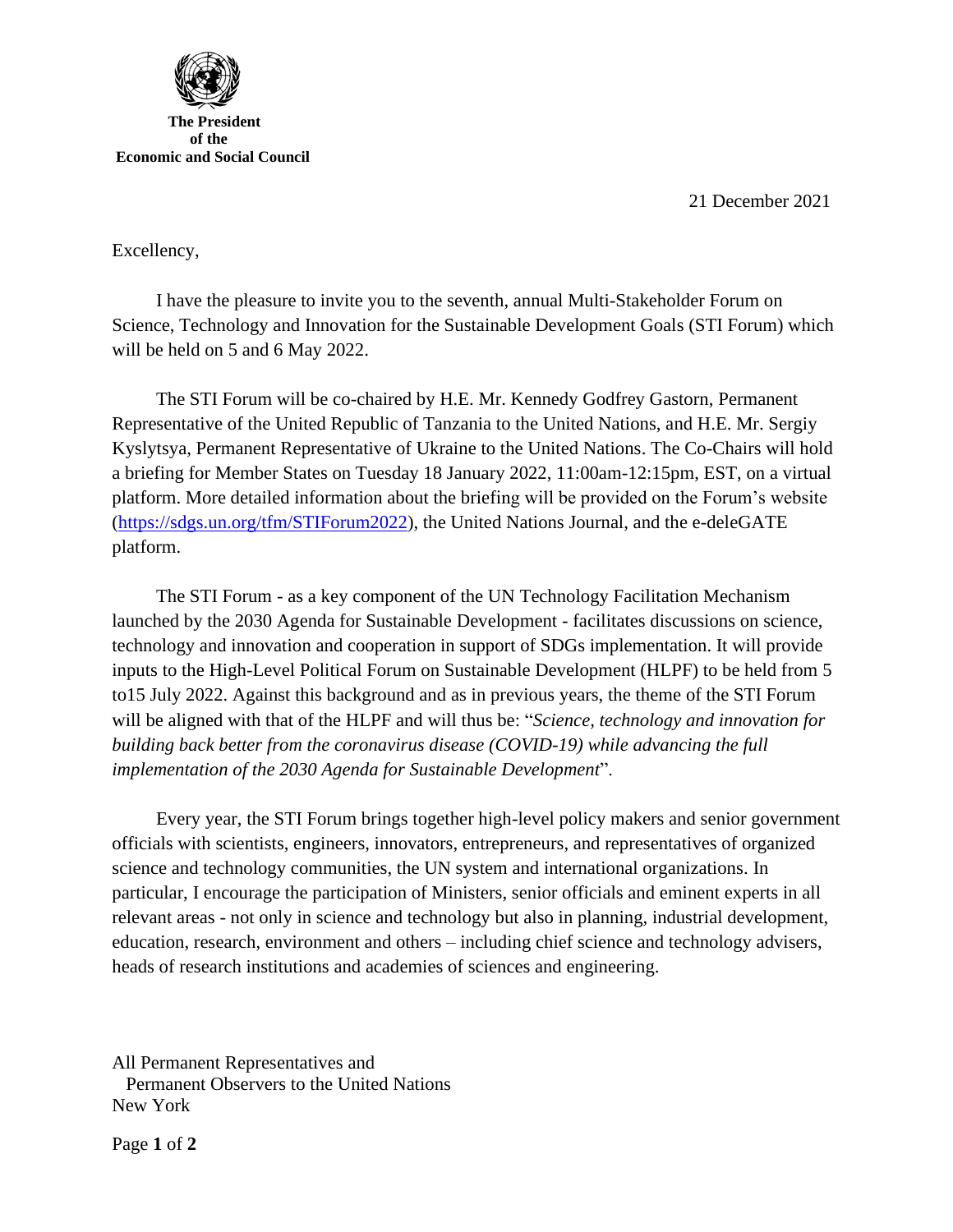21 December 2021



Excellency,

I have the pleasure to invite you to the seventh, annual Multi-Stakeholder Forum on Science, Technology and Innovation for the Sustainable Development Goals (STI Forum) which will be held on 5 and 6 May 2022.

The STI Forum will be co-chaired by H.E. Mr. Kennedy Godfrey Gastorn, Permanent Representative of the United Republic of Tanzania to the United Nations, and H.E. Mr. Sergiy Kyslytsya, Permanent Representative of Ukraine to the United Nations. The Co-Chairs will hold a briefing for Member States on Tuesday 18 January 2022, 11:00am-12:15pm, EST, on a virtual platform. More detailed information about the briefing will be provided on the Forum's website [\(https://sdgs.un.org/tfm/STIForum2022\)](https://sdgs.un.org/tfm/STIForum2022), the United Nations Journal, and the e-deleGATE platform.

The STI Forum - as a key component of the UN Technology Facilitation Mechanism launched by the 2030 Agenda for Sustainable Development - facilitates discussions on science, technology and innovation and cooperation in support of SDGs implementation. It will provide inputs to the High-Level Political Forum on Sustainable Development (HLPF) to be held from 5 to15 July 2022. Against this background and as in previous years, the theme of the STI Forum will be aligned with that of the HLPF and will thus be: "*Science, technology and innovation for building back better from the coronavirus disease (COVID-19) while advancing the full implementation of the 2030 Agenda for Sustainable Development*".

Every year, the STI Forum brings together high-level policy makers and senior government officials with scientists, engineers, innovators, entrepreneurs, and representatives of organized science and technology communities, the UN system and international organizations. In particular, I encourage the participation of Ministers, senior officials and eminent experts in all relevant areas - not only in science and technology but also in planning, industrial development, education, research, environment and others – including chief science and technology advisers, heads of research institutions and academies of sciences and engineering.

All Permanent Representatives and Permanent Observers to the United Nations New York